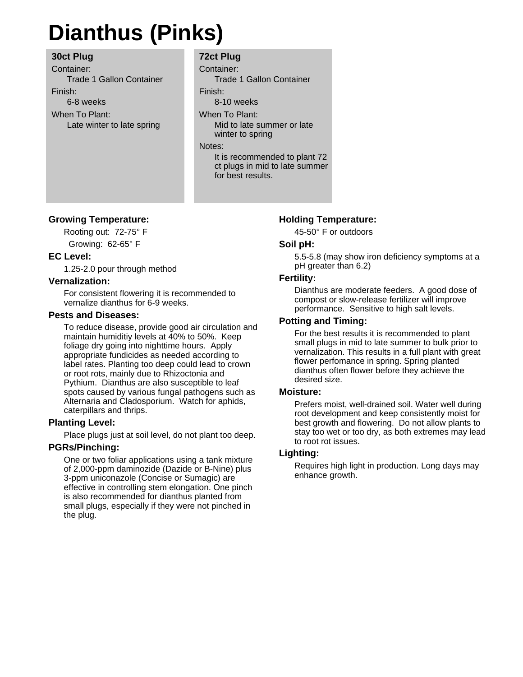# **Dianthus (Pinks)**

## **30ct Plug**

Container: Trade 1 Gallon Container Finish: 6-8 weeks When To Plant: Late winter to late spring

# **72ct Plug**

Container: Trade 1 Gallon Container Finish: 8-10 weeks When To Plant: Mid to late summer or late winter to spring Notes: It is recommended to plant 72 ct plugs in mid to late summer for best results.

## **Growing Temperature:**

Rooting out: 72-75° F Growing: 62-65° F

## **EC Level:**

1.25-2.0 pour through method

#### **Vernalization:**

For consistent flowering it is recommended to vernalize dianthus for 6-9 weeks.

### **Pests and Diseases:**

To reduce disease, provide good air circulation and maintain humiditiy levels at 40% to 50%. Keep foliage dry going into nighttime hours. Apply appropriate fundicides as needed according to label rates. Planting too deep could lead to crown or root rots, mainly due to Rhizoctonia and Pythium. Dianthus are also susceptible to leaf spots caused by various fungal pathogens such as Alternaria and Cladosporium. Watch for aphids, caterpillars and thrips.

## **Planting Level:**

Place plugs just at soil level, do not plant too deep.

#### **PGRs/Pinching:**

One or two foliar applications using a tank mixture of 2,000-ppm daminozide (Dazide or B-Nine) plus 3-ppm uniconazole (Concise or Sumagic) are effective in controlling stem elongation. One pinch is also recommended for dianthus planted from small plugs, especially if they were not pinched in the plug.

#### **Holding Temperature:**

45-50° F or outdoors

#### **Soil pH:**

5.5-5.8 (may show iron deficiency symptoms at a pH greater than 6.2)

#### **Fertility:**

Dianthus are moderate feeders. A good dose of compost or slow-release fertilizer will improve performance. Sensitive to high salt levels.

#### **Potting and Timing:**

For the best results it is recommended to plant small plugs in mid to late summer to bulk prior to vernalization. This results in a full plant with great flower perfomance in spring. Spring planted dianthus often flower before they achieve the desired size.

#### **Moisture:**

Prefers moist, well-drained soil. Water well during root development and keep consistently moist for best growth and flowering. Do not allow plants to stay too wet or too dry, as both extremes may lead to root rot issues.

#### **Lighting:**

Requires high light in production. Long days may enhance growth.